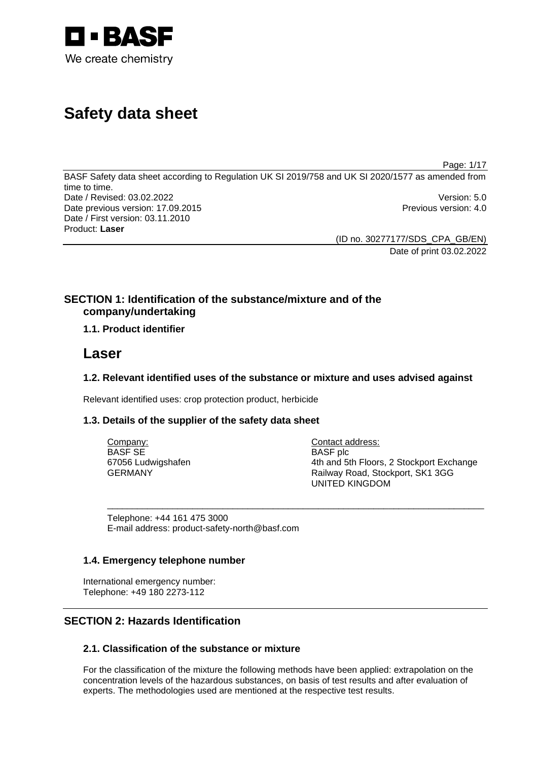

# **Safety data sheet**

Page: 1/17

BASF Safety data sheet according to Regulation UK SI 2019/758 and UK SI 2020/1577 as amended from time to time. Date / Revised: 03.02.2022 Version: 5.0 Date previous version: 17.09.2015 **Previous version: 4.0** Previous version: 4.0 Date / First version: 03.11.2010 Product: **Laser** 

> (ID no. 30277177/SDS\_CPA\_GB/EN) Date of print 03.02.2022

## **SECTION 1: Identification of the substance/mixture and of the company/undertaking**

## **1.1. Product identifier**

## **Laser**

## **1.2. Relevant identified uses of the substance or mixture and uses advised against**

Relevant identified uses: crop protection product, herbicide

## **1.3. Details of the supplier of the safety data sheet**

| Company:           | Contact address:                         |
|--------------------|------------------------------------------|
| BASF SE            | BASF plc                                 |
| 67056 Ludwigshafen | 4th and 5th Floors, 2 Stockport Exchange |
| GERMANY            | Railway Road, Stockport, SK1 3GG         |
|                    | UNITED KINGDOM                           |

\_\_\_\_\_\_\_\_\_\_\_\_\_\_\_\_\_\_\_\_\_\_\_\_\_\_\_\_\_\_\_\_\_\_\_\_\_\_\_\_\_\_\_\_\_\_\_\_\_\_\_\_\_\_\_\_\_\_\_\_\_\_\_\_\_\_\_\_\_\_\_\_\_\_\_

Telephone: +44 161 475 3000 E-mail address: product-safety-north@basf.com

## **1.4. Emergency telephone number**

International emergency number: Telephone: +49 180 2273-112

## **SECTION 2: Hazards Identification**

## **2.1. Classification of the substance or mixture**

For the classification of the mixture the following methods have been applied: extrapolation on the concentration levels of the hazardous substances, on basis of test results and after evaluation of experts. The methodologies used are mentioned at the respective test results.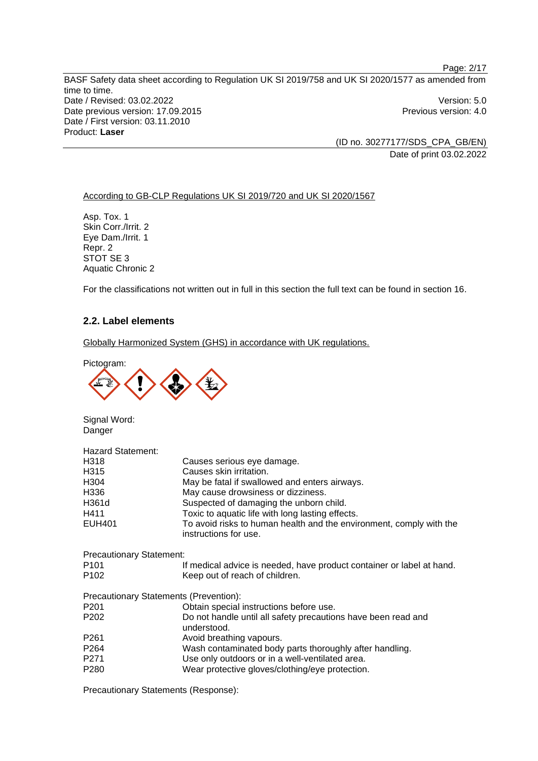BASF Safety data sheet according to Regulation UK SI 2019/758 and UK SI 2020/1577 as amended from time to time. Date / Revised: 03.02.2022 Version: 5.0 Date previous version: 17.09.2015 **Previous version: 4.0** Previous version: 4.0 Date / First version: 03.11.2010 Product: **Laser** 

(ID no. 30277177/SDS\_CPA\_GB/EN) Date of print 03.02.2022

### According to GB-CLP Regulations UK SI 2019/720 and UK SI 2020/1567

Asp. Tox. 1 Skin Corr./Irrit. 2 Eye Dam./Irrit. 1 Repr. 2 STOT SE 3 Aquatic Chronic 2

For the classifications not written out in full in this section the full text can be found in section 16.

## **2.2. Label elements**

Globally Harmonized System (GHS) in accordance with UK regulations.

Pictogram:



Signal Word: Danger

| <b>Hazard Statement:</b>               |                                                                                              |
|----------------------------------------|----------------------------------------------------------------------------------------------|
| H318                                   | Causes serious eye damage.                                                                   |
| H <sub>3</sub> 15                      | Causes skin irritation.                                                                      |
| H <sub>304</sub>                       | May be fatal if swallowed and enters airways.                                                |
| H336                                   | May cause drowsiness or dizziness.                                                           |
| H361d                                  | Suspected of damaging the unborn child.                                                      |
| H411                                   | Toxic to aquatic life with long lasting effects.                                             |
| <b>EUH401</b>                          | To avoid risks to human health and the environment, comply with the<br>instructions for use. |
| <b>Precautionary Statement:</b>        |                                                                                              |
| P <sub>101</sub>                       | If medical advice is needed, have product container or label at hand.                        |
| P <sub>102</sub>                       | Keep out of reach of children.                                                               |
| Precautionary Statements (Prevention): |                                                                                              |
| P <sub>201</sub>                       | Obtain special instructions before use.                                                      |
| P <sub>202</sub>                       | Do not handle until all safety precautions have been read and<br>understood.                 |
| P <sub>261</sub>                       | Avoid breathing vapours.                                                                     |
| P <sub>264</sub>                       | Wash contaminated body parts thoroughly after handling.                                      |
| P <sub>271</sub>                       | Use only outdoors or in a well-ventilated area.                                              |
| P <sub>280</sub>                       | Wear protective gloves/clothing/eye protection.                                              |

Precautionary Statements (Response):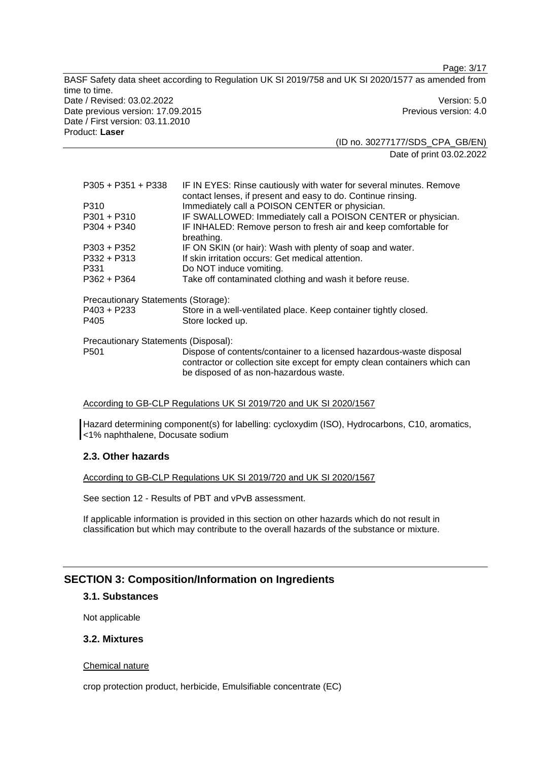Page: 3/17

BASF Safety data sheet according to Regulation UK SI 2019/758 and UK SI 2020/1577 as amended from time to time. Date / Revised: 03.02.2022 Version: 5.0 Date previous version: 17.09.2015 **Previous version: 4.0** Previous version: 4.0 Date / First version: 03.11.2010 Product: **Laser** 

(ID no. 30277177/SDS\_CPA\_GB/EN) Date of print 03.02.2022

| $P305 + P351 + P338$                 | IF IN EYES: Rinse cautiously with water for several minutes. Remove<br>contact lenses, if present and easy to do. Continue rinsing.                                                         |
|--------------------------------------|---------------------------------------------------------------------------------------------------------------------------------------------------------------------------------------------|
| P310                                 | Immediately call a POISON CENTER or physician.                                                                                                                                              |
| P301 + P310                          | IF SWALLOWED: Immediately call a POISON CENTER or physician.                                                                                                                                |
| P304 + P340                          | IF INHALED: Remove person to fresh air and keep comfortable for<br>breathing.                                                                                                               |
| $P303 + P352$                        | IF ON SKIN (or hair): Wash with plenty of soap and water.                                                                                                                                   |
| $P332 + P313$                        | If skin irritation occurs: Get medical attention.                                                                                                                                           |
| P331                                 | Do NOT induce vomiting.                                                                                                                                                                     |
| $P362 + P364$                        | Take off contaminated clothing and wash it before reuse.                                                                                                                                    |
| Precautionary Statements (Storage):  |                                                                                                                                                                                             |
| P403 + P233<br>P405                  | Store in a well-ventilated place. Keep container tightly closed.<br>Store locked up.                                                                                                        |
| Precautionary Statements (Disposal): |                                                                                                                                                                                             |
| P <sub>501</sub>                     | Dispose of contents/container to a licensed hazardous-waste disposal<br>contractor or collection site except for empty clean containers which can<br>be disposed of as non-hazardous waste. |

According to GB-CLP Regulations UK SI 2019/720 and UK SI 2020/1567

Hazard determining component(s) for labelling: cycloxydim (ISO), Hydrocarbons, C10, aromatics, <1% naphthalene, Docusate sodium

## **2.3. Other hazards**

According to GB-CLP Regulations UK SI 2019/720 and UK SI 2020/1567

See section 12 - Results of PBT and vPvB assessment.

If applicable information is provided in this section on other hazards which do not result in classification but which may contribute to the overall hazards of the substance or mixture.

## **SECTION 3: Composition/Information on Ingredients**

#### **3.1. Substances**

Not applicable

## **3.2. Mixtures**

#### Chemical nature

crop protection product, herbicide, Emulsifiable concentrate (EC)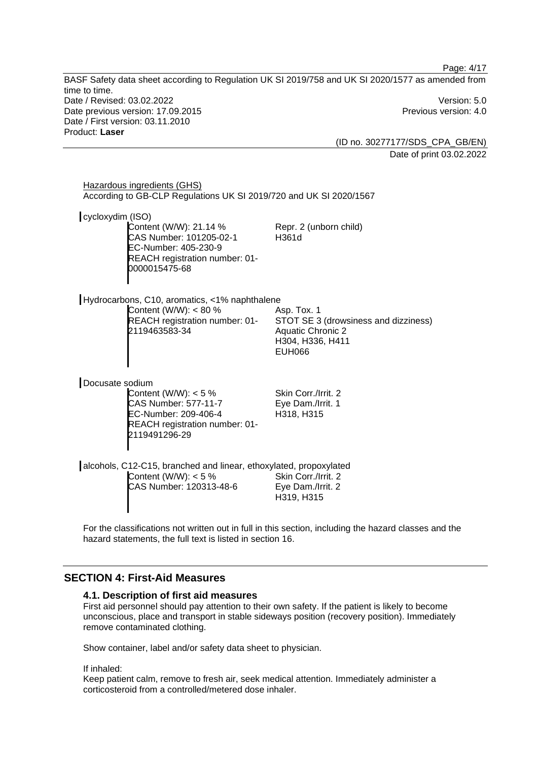BASF Safety data sheet according to Regulation UK SI 2019/758 and UK SI 2020/1577 as amended from time to time. Date / Revised: 03.02.2022 Version: 5.0 Date previous version: 17.09.2015 **Previous version: 4.0** Previous version: 4.0 Date / First version: 03.11.2010 Product: **Laser** 

(ID no. 30277177/SDS\_CPA\_GB/EN) Date of print 03.02.2022

Page: 4/17

| Hazardous ingredients (GHS)<br>According to GB-CLP Regulations UK SI 2019/720 and UK SI 2020/1567                                                   |                                                                                                                      |
|-----------------------------------------------------------------------------------------------------------------------------------------------------|----------------------------------------------------------------------------------------------------------------------|
| cycloxydim (ISO)<br>Content (W/W): 21.14 %<br>CAS Number: 101205-02-1<br>EC-Number: 405-230-9<br>REACH registration number: 01-<br>0000015475-68    | Repr. 2 (unborn child)<br>H361d                                                                                      |
| Hydrocarbons, C10, aromatics, <1% naphthalene<br>Content (W/W): $< 80 %$<br>REACH registration number: 01-<br>2119463583-34                         | Asp. Tox. 1<br>STOT SE 3 (drowsiness and dizziness)<br><b>Aquatic Chronic 2</b><br>H304, H336, H411<br><b>EUH066</b> |
| Docusate sodium<br>Content (W/W): $<$ 5 %<br><b>CAS Number: 577-11-7</b><br>EC-Number: 209-406-4<br>REACH registration number: 01-<br>2119491296-29 | Skin Corr./Irrit. 2<br>Eye Dam./Irrit. 1<br>H318, H315                                                               |
| alcohols, C12-C15, branched and linear, ethoxylated, propoxylated<br>Content (W/W): $< 5 \%$<br>CAS Number: 120313-48-6                             | Skin Corr./Irrit. 2<br>Eye Dam./Irrit. 2<br>H319, H315                                                               |

For the classifications not written out in full in this section, including the hazard classes and the hazard statements, the full text is listed in section 16.

## **SECTION 4: First-Aid Measures**

#### **4.1. Description of first aid measures**

First aid personnel should pay attention to their own safety. If the patient is likely to become unconscious, place and transport in stable sideways position (recovery position). Immediately remove contaminated clothing.

Show container, label and/or safety data sheet to physician.

If inhaled:

Keep patient calm, remove to fresh air, seek medical attention. Immediately administer a corticosteroid from a controlled/metered dose inhaler.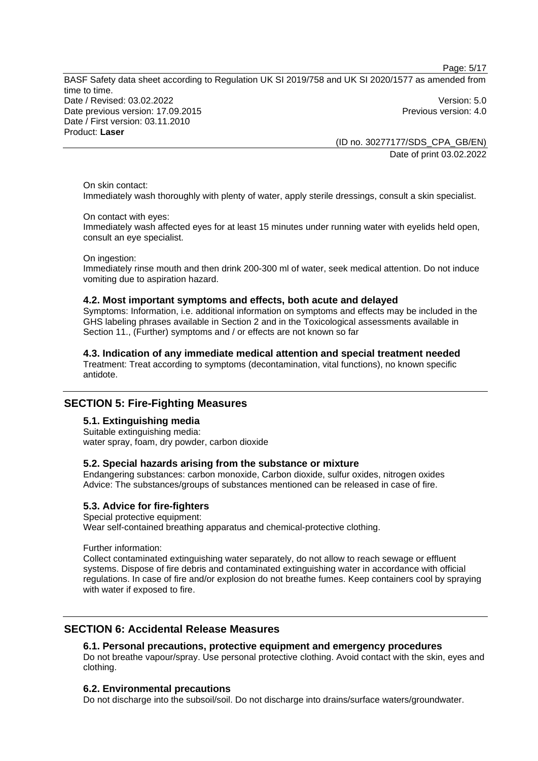Page: 5/17

BASF Safety data sheet according to Regulation UK SI 2019/758 and UK SI 2020/1577 as amended from time to time. Date / Revised: 03.02.2022 Version: 5.0 Date previous version: 17.09.2015 **Previous version: 4.0** Previous version: 4.0 Date / First version: 03.11.2010 Product: **Laser** 

(ID no. 30277177/SDS\_CPA\_GB/EN) Date of print 03.02.2022

On skin contact: Immediately wash thoroughly with plenty of water, apply sterile dressings, consult a skin specialist.

## On contact with eyes:

Immediately wash affected eyes for at least 15 minutes under running water with eyelids held open, consult an eye specialist.

On ingestion:

Immediately rinse mouth and then drink 200-300 ml of water, seek medical attention. Do not induce vomiting due to aspiration hazard.

#### **4.2. Most important symptoms and effects, both acute and delayed**

Symptoms: Information, i.e. additional information on symptoms and effects may be included in the GHS labeling phrases available in Section 2 and in the Toxicological assessments available in Section 11., (Further) symptoms and / or effects are not known so far

**4.3. Indication of any immediate medical attention and special treatment needed**  Treatment: Treat according to symptoms (decontamination, vital functions), no known specific antidote.

## **SECTION 5: Fire-Fighting Measures**

### **5.1. Extinguishing media**

Suitable extinguishing media: water spray, foam, dry powder, carbon dioxide

#### **5.2. Special hazards arising from the substance or mixture**

Endangering substances: carbon monoxide, Carbon dioxide, sulfur oxides, nitrogen oxides Advice: The substances/groups of substances mentioned can be released in case of fire.

#### **5.3. Advice for fire-fighters**

Special protective equipment:

Wear self-contained breathing apparatus and chemical-protective clothing.

Further information:

Collect contaminated extinguishing water separately, do not allow to reach sewage or effluent systems. Dispose of fire debris and contaminated extinguishing water in accordance with official regulations. In case of fire and/or explosion do not breathe fumes. Keep containers cool by spraying with water if exposed to fire.

## **SECTION 6: Accidental Release Measures**

## **6.1. Personal precautions, protective equipment and emergency procedures**

Do not breathe vapour/spray. Use personal protective clothing. Avoid contact with the skin, eyes and clothing.

#### **6.2. Environmental precautions**

Do not discharge into the subsoil/soil. Do not discharge into drains/surface waters/groundwater.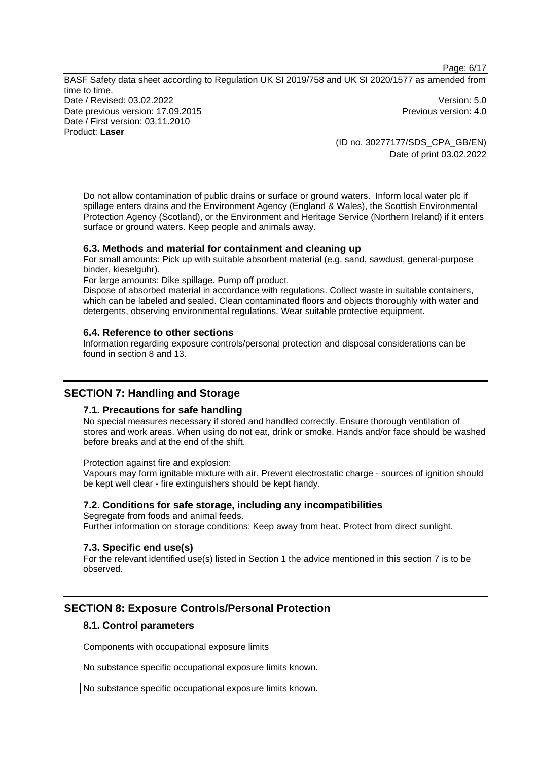Page: 6/17

BASF Safety data sheet according to Regulation UK SI 2019/758 and UK SI 2020/1577 as amended from time to time. Date / Revised: 03.02.2022 Version: 5.0 Date previous version: 17.09.2015 **Previous version: 4.0** Previous version: 4.0 Date / First version: 03.11.2010 Product: **Laser** 

> (ID no. 30277177/SDS\_CPA\_GB/EN) Date of print 03.02.2022

Do not allow contamination of public drains or surface or ground waters. Inform local water plc if spillage enters drains and the Environment Agency (England & Wales), the Scottish Environmental Protection Agency (Scotland), or the Environment and Heritage Service (Northern Ireland) if it enters surface or ground waters. Keep people and animals away.

#### **6.3. Methods and material for containment and cleaning up**

For small amounts: Pick up with suitable absorbent material (e.g. sand, sawdust, general-purpose binder, kieselguhr).

For large amounts: Dike spillage. Pump off product.

Dispose of absorbed material in accordance with regulations. Collect waste in suitable containers, which can be labeled and sealed. Clean contaminated floors and objects thoroughly with water and detergents, observing environmental regulations. Wear suitable protective equipment.

### **6.4. Reference to other sections**

Information regarding exposure controls/personal protection and disposal considerations can be found in section 8 and 13.

## **SECTION 7: Handling and Storage**

#### **7.1. Precautions for safe handling**

No special measures necessary if stored and handled correctly. Ensure thorough ventilation of stores and work areas. When using do not eat, drink or smoke. Hands and/or face should be washed before breaks and at the end of the shift.

Protection against fire and explosion:

Vapours may form ignitable mixture with air. Prevent electrostatic charge - sources of ignition should be kept well clear - fire extinguishers should be kept handy.

#### **7.2. Conditions for safe storage, including any incompatibilities**

Segregate from foods and animal feeds.

Further information on storage conditions: Keep away from heat. Protect from direct sunlight.

#### **7.3. Specific end use(s)**

For the relevant identified use(s) listed in Section 1 the advice mentioned in this section 7 is to be observed.

## **SECTION 8: Exposure Controls/Personal Protection**

#### **8.1. Control parameters**

Components with occupational exposure limits

No substance specific occupational exposure limits known.

No substance specific occupational exposure limits known.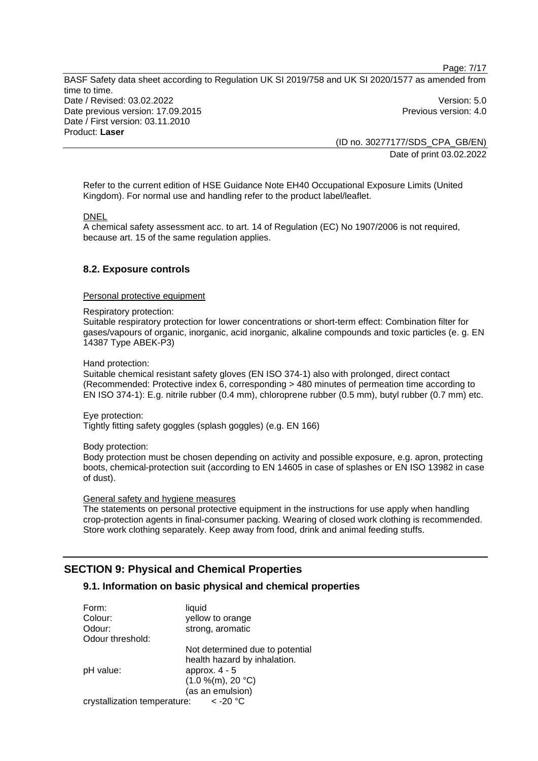Page: 7/17 BASF Safety data sheet according to Regulation UK SI 2019/758 and UK SI 2020/1577 as amended from time to time. Date / Revised: 03.02.2022 Version: 5.0 Date previous version: 17.09.2015 **Previous version: 4.0** Previous version: 4.0 Date / First version: 03.11.2010 Product: **Laser** 

(ID no. 30277177/SDS\_CPA\_GB/EN) Date of print 03.02.2022

Refer to the current edition of HSE Guidance Note EH40 Occupational Exposure Limits (United Kingdom). For normal use and handling refer to the product label/leaflet.

#### DNEL

A chemical safety assessment acc. to art. 14 of Regulation (EC) No 1907/2006 is not required, because art. 15 of the same regulation applies.

## **8.2. Exposure controls**

#### Personal protective equipment

Respiratory protection:

Suitable respiratory protection for lower concentrations or short-term effect: Combination filter for gases/vapours of organic, inorganic, acid inorganic, alkaline compounds and toxic particles (e. g. EN 14387 Type ABEK-P3)

#### Hand protection:

Suitable chemical resistant safety gloves (EN ISO 374-1) also with prolonged, direct contact (Recommended: Protective index 6, corresponding > 480 minutes of permeation time according to EN ISO 374-1): E.g. nitrile rubber (0.4 mm), chloroprene rubber (0.5 mm), butyl rubber (0.7 mm) etc.

Eye protection:

Tightly fitting safety goggles (splash goggles) (e.g. EN 166)

Body protection:

Body protection must be chosen depending on activity and possible exposure, e.g. apron, protecting boots, chemical-protection suit (according to EN 14605 in case of splashes or EN ISO 13982 in case of dust).

#### General safety and hygiene measures

The statements on personal protective equipment in the instructions for use apply when handling crop-protection agents in final-consumer packing. Wearing of closed work clothing is recommended. Store work clothing separately. Keep away from food, drink and animal feeding stuffs.

## **SECTION 9: Physical and Chemical Properties**

## **9.1. Information on basic physical and chemical properties**

| Form:                        | liquid                          |
|------------------------------|---------------------------------|
| Colour:                      | yellow to orange                |
| Odour:                       | strong, aromatic                |
| Odour threshold:             |                                 |
|                              | Not determined due to potential |
|                              | health hazard by inhalation.    |
| pH value:                    | approx. $4 - 5$                 |
|                              | (1.0 %(m), 20 °C)               |
|                              | (as an emulsion)                |
| crystallization temperature: | < -20 °C                        |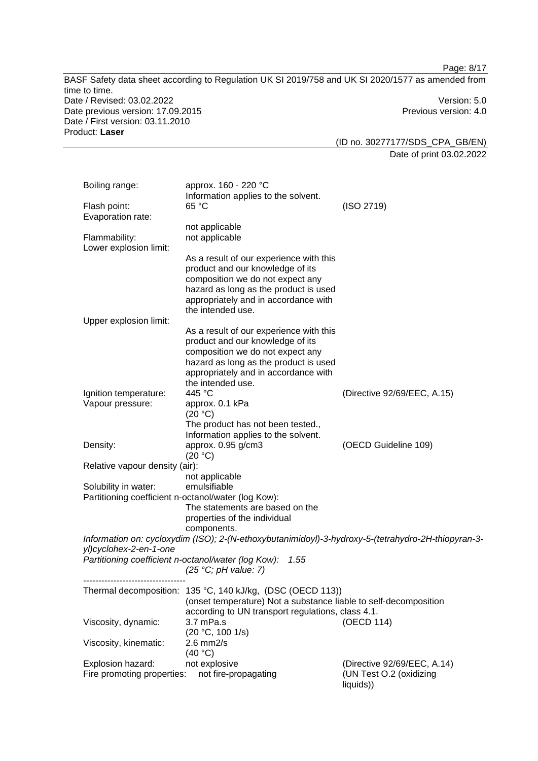|                                                                       | BASF Safety data sheet according to Regulation UK SI 2019/758 and UK SI 2020/1577 as amended from                                                                                                                     | Page: 8/17                                                          |
|-----------------------------------------------------------------------|-----------------------------------------------------------------------------------------------------------------------------------------------------------------------------------------------------------------------|---------------------------------------------------------------------|
| time to time.<br>Date / Revised: 03.02.2022                           |                                                                                                                                                                                                                       | Version: 5.0                                                        |
| Date previous version: 17.09.2015<br>Date / First version: 03.11.2010 |                                                                                                                                                                                                                       | Previous version: 4.0                                               |
| Product: Laser                                                        |                                                                                                                                                                                                                       | (ID no. 30277177/SDS_CPA_GB/EN)                                     |
|                                                                       |                                                                                                                                                                                                                       | Date of print 03.02.2022                                            |
| Boiling range:                                                        | approx. 160 - 220 °C<br>Information applies to the solvent.                                                                                                                                                           |                                                                     |
| Flash point:<br>Evaporation rate:                                     | 65 °C                                                                                                                                                                                                                 | (ISO 2719)                                                          |
| Flammability:<br>Lower explosion limit:                               | not applicable<br>not applicable                                                                                                                                                                                      |                                                                     |
|                                                                       | As a result of our experience with this<br>product and our knowledge of its<br>composition we do not expect any<br>hazard as long as the product is used<br>appropriately and in accordance with                      |                                                                     |
| Upper explosion limit:                                                | the intended use.                                                                                                                                                                                                     |                                                                     |
|                                                                       | As a result of our experience with this<br>product and our knowledge of its<br>composition we do not expect any<br>hazard as long as the product is used<br>appropriately and in accordance with<br>the intended use. |                                                                     |
| Ignition temperature:<br>Vapour pressure:                             | 445 °C<br>approx. 0.1 kPa                                                                                                                                                                                             | (Directive 92/69/EEC, A.15)                                         |
|                                                                       | (20 °C)<br>The product has not been tested.,<br>Information applies to the solvent.                                                                                                                                   |                                                                     |
| Density:                                                              | approx. 0.95 g/cm3<br>(20 °C)                                                                                                                                                                                         | (OECD Guideline 109)                                                |
| Relative vapour density (air):                                        | not applicable                                                                                                                                                                                                        |                                                                     |
| Solubility in water:                                                  | emulsifiable<br>Partitioning coefficient n-octanol/water (log Kow):<br>The statements are based on the<br>properties of the individual                                                                                |                                                                     |
|                                                                       | components.                                                                                                                                                                                                           |                                                                     |
|                                                                       | Information on: cycloxydim (ISO); 2-(N-ethoxybutanimidoyl)-3-hydroxy-5-(tetrahydro-2H-thiopyran-3-                                                                                                                    |                                                                     |
| yl)cyclohex-2-en-1-one                                                | Partitioning coefficient n-octanol/water (log Kow):<br>1.55<br>(25 °C; pH value: 7)                                                                                                                                   |                                                                     |
|                                                                       | Thermal decomposition: 135 °C, 140 kJ/kg, (DSC (OECD 113))<br>(onset temperature) Not a substance liable to self-decomposition<br>according to UN transport regulations, class 4.1.                                   |                                                                     |
| Viscosity, dynamic:                                                   | 3.7 mPa.s<br>(20 °C, 100 1/s)                                                                                                                                                                                         | (OECD 114)                                                          |
| Viscosity, kinematic:                                                 | $2.6$ mm $2/s$<br>(40 °C)                                                                                                                                                                                             |                                                                     |
| Explosion hazard:<br>Fire promoting properties:                       | not explosive<br>not fire-propagating                                                                                                                                                                                 | (Directive 92/69/EEC, A.14)<br>(UN Test O.2 (oxidizing<br>liquids)) |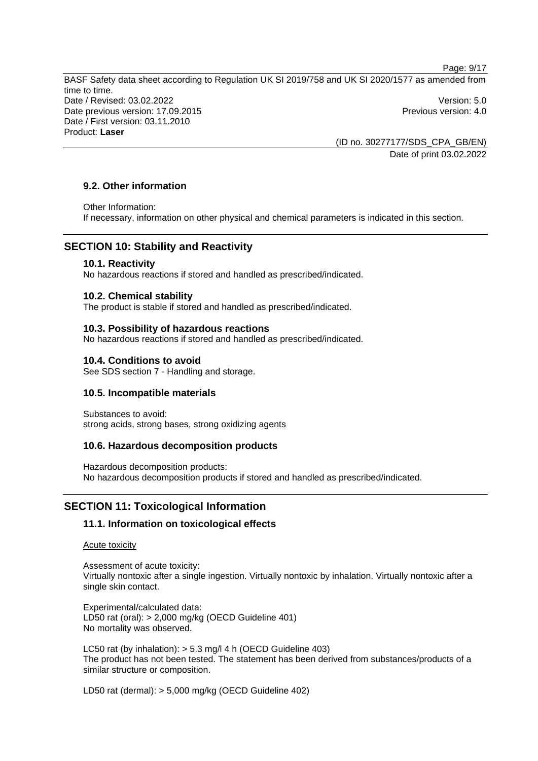Page: 9/17

BASF Safety data sheet according to Regulation UK SI 2019/758 and UK SI 2020/1577 as amended from time to time. Date / Revised: 03.02.2022 Version: 5.0 Date previous version: 17.09.2015 **Previous version: 4.0** Previous version: 4.0 Date / First version: 03.11.2010 Product: **Laser** 

> (ID no. 30277177/SDS\_CPA\_GB/EN) Date of print 03.02.2022

## **9.2. Other information**

Other Information:

If necessary, information on other physical and chemical parameters is indicated in this section.

## **SECTION 10: Stability and Reactivity**

#### **10.1. Reactivity**

No hazardous reactions if stored and handled as prescribed/indicated.

#### **10.2. Chemical stability**

The product is stable if stored and handled as prescribed/indicated.

#### **10.3. Possibility of hazardous reactions**

No hazardous reactions if stored and handled as prescribed/indicated.

## **10.4. Conditions to avoid**

See SDS section 7 - Handling and storage.

## **10.5. Incompatible materials**

Substances to avoid: strong acids, strong bases, strong oxidizing agents

## **10.6. Hazardous decomposition products**

Hazardous decomposition products: No hazardous decomposition products if stored and handled as prescribed/indicated.

## **SECTION 11: Toxicological Information**

## **11.1. Information on toxicological effects**

#### Acute toxicity

Assessment of acute toxicity: Virtually nontoxic after a single ingestion. Virtually nontoxic by inhalation. Virtually nontoxic after a single skin contact.

Experimental/calculated data: LD50 rat (oral): > 2,000 mg/kg (OECD Guideline 401) No mortality was observed.

LC50 rat (by inhalation): > 5.3 mg/l 4 h (OECD Guideline 403) The product has not been tested. The statement has been derived from substances/products of a similar structure or composition.

LD50 rat (dermal): > 5,000 mg/kg (OECD Guideline 402)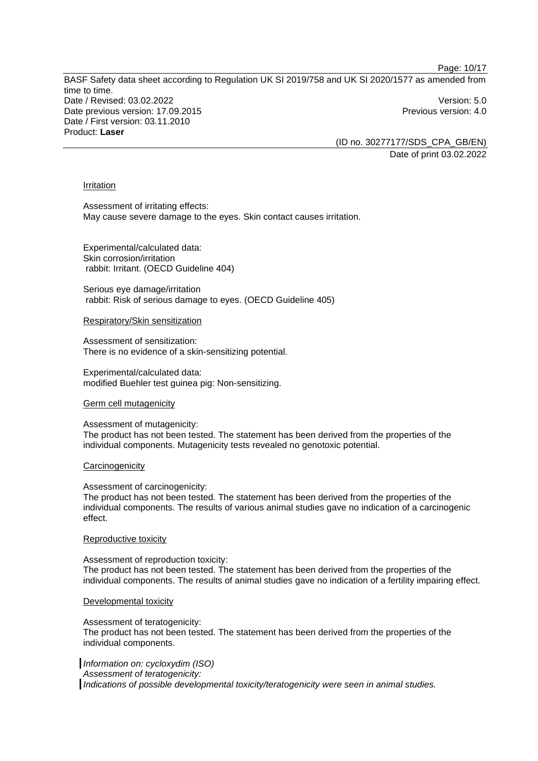Page: 10/17

BASF Safety data sheet according to Regulation UK SI 2019/758 and UK SI 2020/1577 as amended from time to time. Date / Revised: 03.02.2022 Version: 5.0 Date previous version: 17.09.2015 **Previous version: 4.0** Previous version: 4.0 Date / First version: 03.11.2010 Product: **Laser** 

(ID no. 30277177/SDS\_CPA\_GB/EN) Date of print 03.02.2022

#### Irritation

Assessment of irritating effects: May cause severe damage to the eyes. Skin contact causes irritation.

Experimental/calculated data: Skin corrosion/irritation rabbit: Irritant. (OECD Guideline 404)

Serious eye damage/irritation rabbit: Risk of serious damage to eyes. (OECD Guideline 405)

Respiratory/Skin sensitization

Assessment of sensitization: There is no evidence of a skin-sensitizing potential.

Experimental/calculated data: modified Buehler test guinea pig: Non-sensitizing.

#### Germ cell mutagenicity

#### Assessment of mutagenicity:

The product has not been tested. The statement has been derived from the properties of the individual components. Mutagenicity tests revealed no genotoxic potential.

#### **Carcinogenicity**

Assessment of carcinogenicity:

The product has not been tested. The statement has been derived from the properties of the individual components. The results of various animal studies gave no indication of a carcinogenic effect.

#### Reproductive toxicity

Assessment of reproduction toxicity: The product has not been tested. The statement has been derived from the properties of the individual components. The results of animal studies gave no indication of a fertility impairing effect.

#### Developmental toxicity

Assessment of teratogenicity: The product has not been tested. The statement has been derived from the properties of the individual components.

*Information on: cycloxydim (ISO) Assessment of teratogenicity: Indications of possible developmental toxicity/teratogenicity were seen in animal studies.*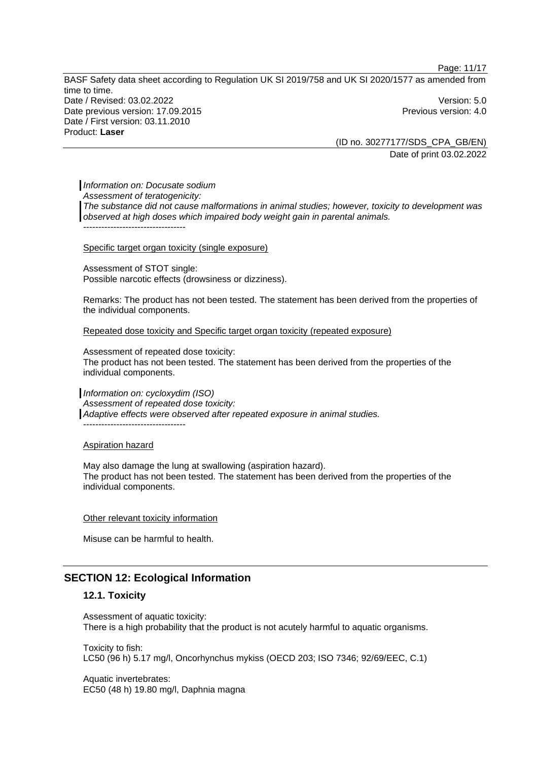Page: 11/17

BASF Safety data sheet according to Regulation UK SI 2019/758 and UK SI 2020/1577 as amended from time to time. Date / Revised: 03.02.2022 Version: 5.0 Date previous version: 17.09.2015 **Previous version: 4.0** Previous version: 4.0 Date / First version: 03.11.2010 Product: **Laser** 

(ID no. 30277177/SDS\_CPA\_GB/EN) Date of print 03.02.2022

*Information on: Docusate sodium Assessment of teratogenicity: The substance did not cause malformations in animal studies; however, toxicity to development was observed at high doses which impaired body weight gain in parental animals.*  ----------------------------------

#### Specific target organ toxicity (single exposure)

Assessment of STOT single: Possible narcotic effects (drowsiness or dizziness).

Remarks: The product has not been tested. The statement has been derived from the properties of the individual components.

Repeated dose toxicity and Specific target organ toxicity (repeated exposure)

Assessment of repeated dose toxicity: The product has not been tested. The statement has been derived from the properties of the individual components.

*Information on: cycloxydim (ISO) Assessment of repeated dose toxicity: Adaptive effects were observed after repeated exposure in animal studies.*  ----------------------------------

#### Aspiration hazard

May also damage the lung at swallowing (aspiration hazard). The product has not been tested. The statement has been derived from the properties of the individual components.

#### Other relevant toxicity information

Misuse can be harmful to health.

## **SECTION 12: Ecological Information**

#### **12.1. Toxicity**

Assessment of aquatic toxicity: There is a high probability that the product is not acutely harmful to aquatic organisms.

Toxicity to fish: LC50 (96 h) 5.17 mg/l, Oncorhynchus mykiss (OECD 203; ISO 7346; 92/69/EEC, C.1)

Aquatic invertebrates: EC50 (48 h) 19.80 mg/l, Daphnia magna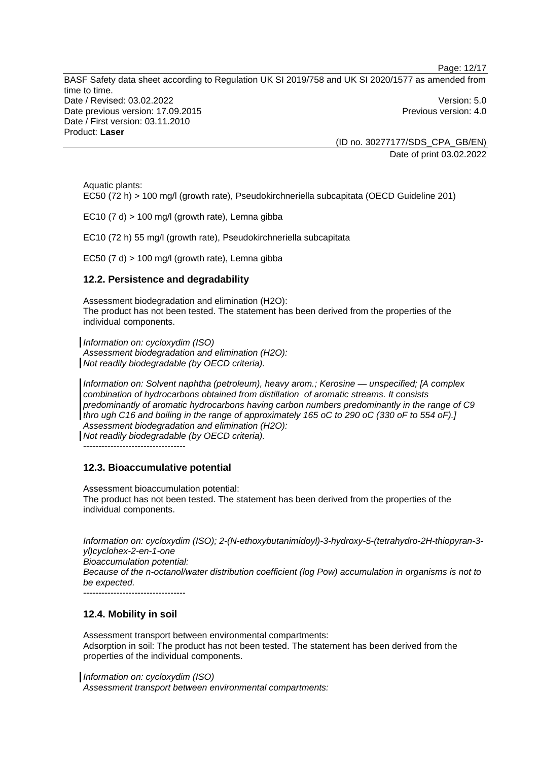Page: 12/17

BASF Safety data sheet according to Regulation UK SI 2019/758 and UK SI 2020/1577 as amended from time to time. Date / Revised: 03.02.2022 Version: 5.0 Date previous version: 17.09.2015 **Previous version: 4.0** Previous version: 4.0 Date / First version: 03.11.2010 Product: **Laser** 

> (ID no. 30277177/SDS\_CPA\_GB/EN) Date of print 03.02.2022

Aquatic plants: EC50 (72 h) > 100 mg/l (growth rate), Pseudokirchneriella subcapitata (OECD Guideline 201)

EC10  $(7 d)$  > 100 mg/l (growth rate). Lemna gibba

EC10 (72 h) 55 mg/l (growth rate), Pseudokirchneriella subcapitata

EC50  $(7 d)$  > 100 mg/l (growth rate), Lemna gibba

#### **12.2. Persistence and degradability**

Assessment biodegradation and elimination (H2O): The product has not been tested. The statement has been derived from the properties of the individual components.

*Information on: cycloxydim (ISO)* 

*Assessment biodegradation and elimination (H2O): Not readily biodegradable (by OECD criteria).* 

*Information on: Solvent naphtha (petroleum), heavy arom.; Kerosine — unspecified; [A complex combination of hydrocarbons obtained from distillation of aromatic streams. It consists predominantly of aromatic hydrocarbons having carbon numbers predominantly in the range of C9 thro ugh C16 and boiling in the range of approximately 165 oC to 290 oC (330 oF to 554 oF).] Assessment biodegradation and elimination (H2O):*

*Not readily biodegradable (by OECD criteria).* 

 $-$ 

## **12.3. Bioaccumulative potential**

Assessment bioaccumulation potential:

The product has not been tested. The statement has been derived from the properties of the individual components.

*Information on: cycloxydim (ISO); 2-(N-ethoxybutanimidoyl)-3-hydroxy-5-(tetrahydro-2H-thiopyran-3 yl)cyclohex-2-en-1-one* 

*Bioaccumulation potential:* 

*Because of the n-octanol/water distribution coefficient (log Pow) accumulation in organisms is not to be expected.* 

 $-$ 

## **12.4. Mobility in soil**

Assessment transport between environmental compartments: Adsorption in soil: The product has not been tested. The statement has been derived from the properties of the individual components.

*Information on: cycloxydim (ISO)* 

*Assessment transport between environmental compartments:*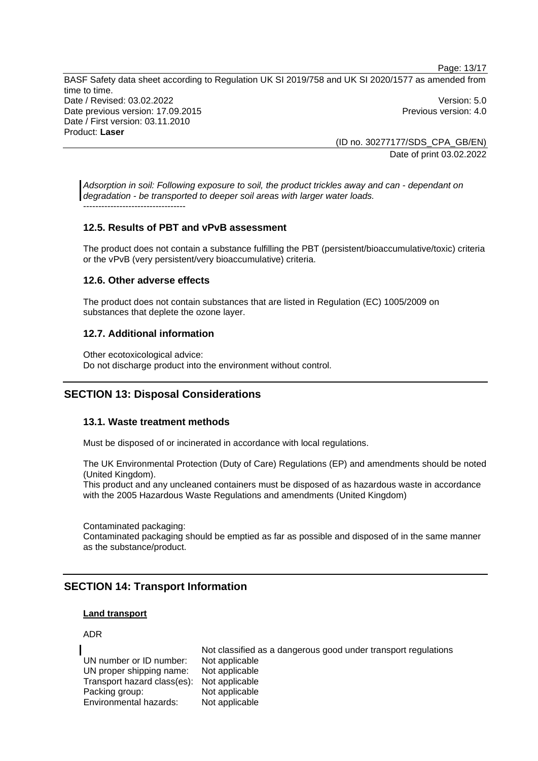Page: 13/17 BASF Safety data sheet according to Regulation UK SI 2019/758 and UK SI 2020/1577 as amended from time to time. Date / Revised: 03.02.2022 Version: 5.0 Date previous version: 17.09.2015 **Previous version: 4.0** Previous version: 4.0 Date / First version: 03.11.2010 Product: **Laser** 

> (ID no. 30277177/SDS\_CPA\_GB/EN) Date of print 03.02.2022

*Adsorption in soil: Following exposure to soil, the product trickles away and can - dependant on degradation - be transported to deeper soil areas with larger water loads.* ----------------------------------

## **12.5. Results of PBT and vPvB assessment**

The product does not contain a substance fulfilling the PBT (persistent/bioaccumulative/toxic) criteria or the vPvB (very persistent/very bioaccumulative) criteria.

## **12.6. Other adverse effects**

The product does not contain substances that are listed in Regulation (EC) 1005/2009 on substances that deplete the ozone layer.

## **12.7. Additional information**

Other ecotoxicological advice: Do not discharge product into the environment without control.

## **SECTION 13: Disposal Considerations**

## **13.1. Waste treatment methods**

Must be disposed of or incinerated in accordance with local regulations.

The UK Environmental Protection (Duty of Care) Regulations (EP) and amendments should be noted (United Kingdom).

This product and any uncleaned containers must be disposed of as hazardous waste in accordance with the 2005 Hazardous Waste Regulations and amendments (United Kingdom)

Contaminated packaging:

Contaminated packaging should be emptied as far as possible and disposed of in the same manner as the substance/product.

## **SECTION 14: Transport Information**

## **Land transport**

## ADR

Not classified as a dangerous good under transport regulations UN number or ID number: Not applicable UN proper shipping name: Not applicable Transport hazard class(es): Not applicable Packing group: Not applicable Environmental hazards: Not applicable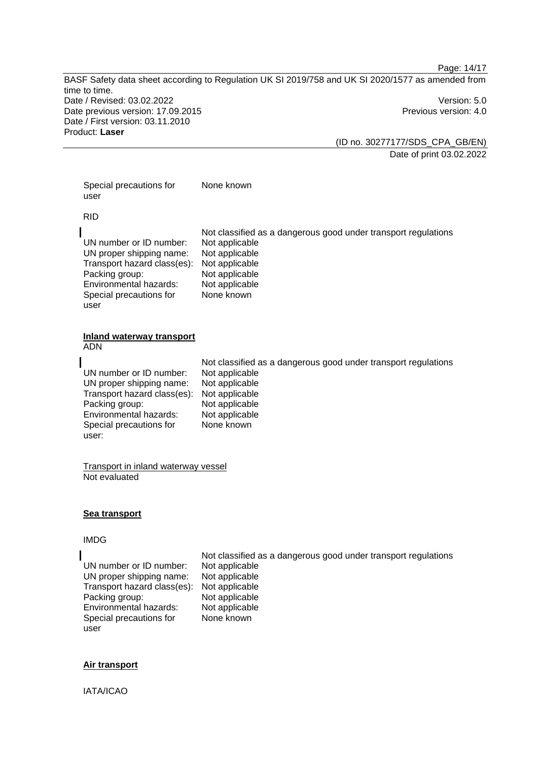Page: 14/17

BASF Safety data sheet according to Regulation UK SI 2019/758 and UK SI 2020/1577 as amended from time to time. Date / Revised: 03.02.2022 Version: 5.0 Date previous version: 17.09.2015 **Previous version: 4.0** Previous version: 4.0 Date / First version: 03.11.2010 Product: **Laser** 

(ID no. 30277177/SDS\_CPA\_GB/EN) Date of print 03.02.2022

Special precautions for user None known

RID

Not classified as a dangerous good under transport regulations UN number or ID number: Not applicable UN proper shipping name: Not applicable Transport hazard class(es): Not applicable Packing group: Not applicable Environmental hazards: Not applicable Special precautions for None known

#### **Inland waterway transport**  ADN

user

|                                            | Not classified as a dangerous good under transport regulations |
|--------------------------------------------|----------------------------------------------------------------|
| UN number or ID number:                    | Not applicable                                                 |
| UN proper shipping name:                   | Not applicable                                                 |
| Transport hazard class(es): Not applicable |                                                                |
| Packing group:                             | Not applicable                                                 |
| Environmental hazards:                     | Not applicable                                                 |
| Special precautions for                    | None known                                                     |
| user:                                      |                                                                |

Transport in inland waterway vessel Not evaluated

## **Sea transport**

#### IMDG

UN number or ID number: Not applicable UN proper shipping name: Not applicable Transport hazard class(es): Not applicable Packing group: Not applicable<br>
Environmental hazards: Not applicable Environmental hazards: Special precautions for user

Not classified as a dangerous good under transport regulations None known

## **Air transport**

IATA/ICAO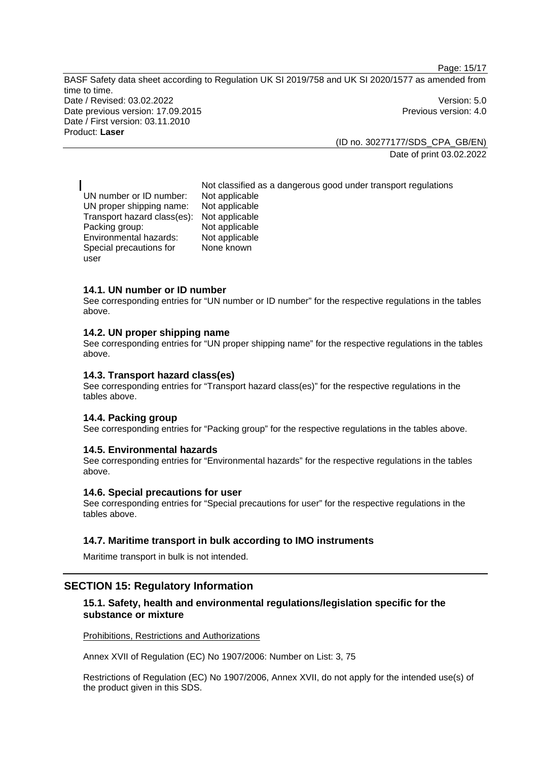Page: 15/17

BASF Safety data sheet according to Regulation UK SI 2019/758 and UK SI 2020/1577 as amended from time to time. Date / Revised: 03.02.2022 Version: 5.0 Date previous version: 17.09.2015 **Previous version: 4.0** Previous version: 4.0 Date / First version: 03.11.2010 Product: **Laser** 

> (ID no. 30277177/SDS\_CPA\_GB/EN) Date of print 03.02.2022

Not classified as a dangerous good under transport regulations UN number or ID number: Not applicable UN proper shipping name: Not applicable Transport hazard class(es): Not applicable Packing group: Not applicable Environmental hazards: Not applicable Special precautions for None known

#### **14.1. UN number or ID number**

user

See corresponding entries for "UN number or ID number" for the respective regulations in the tables above.

#### **14.2. UN proper shipping name**

See corresponding entries for "UN proper shipping name" for the respective regulations in the tables above.

#### **14.3. Transport hazard class(es)**

See corresponding entries for "Transport hazard class(es)" for the respective regulations in the tables above.

#### **14.4. Packing group**

See corresponding entries for "Packing group" for the respective regulations in the tables above.

#### **14.5. Environmental hazards**

See corresponding entries for "Environmental hazards" for the respective regulations in the tables above.

## **14.6. Special precautions for user**

See corresponding entries for "Special precautions for user" for the respective regulations in the tables above.

#### **14.7. Maritime transport in bulk according to IMO instruments**

Maritime transport in bulk is not intended.

#### **SECTION 15: Regulatory Information**

## **15.1. Safety, health and environmental regulations/legislation specific for the substance or mixture**

Prohibitions, Restrictions and Authorizations

Annex XVII of Regulation (EC) No 1907/2006: Number on List: 3, 75

Restrictions of Regulation (EC) No 1907/2006, Annex XVII, do not apply for the intended use(s) of the product given in this SDS.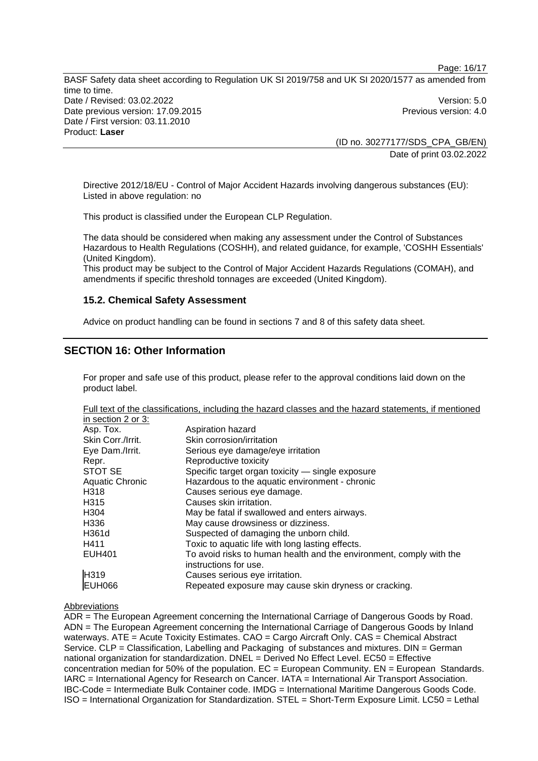Page: 16/17

BASF Safety data sheet according to Regulation UK SI 2019/758 and UK SI 2020/1577 as amended from time to time. Date / Revised: 03.02.2022 Version: 5.0 Date previous version: 17.09.2015 **Previous version: 4.0** Previous version: 4.0 Date / First version: 03.11.2010 Product: **Laser** 

(ID no. 30277177/SDS\_CPA\_GB/EN) Date of print 03.02.2022

Directive 2012/18/EU - Control of Major Accident Hazards involving dangerous substances (EU): Listed in above regulation: no

This product is classified under the European CLP Regulation.

The data should be considered when making any assessment under the Control of Substances Hazardous to Health Regulations (COSHH), and related guidance, for example, 'COSHH Essentials' (United Kingdom).

This product may be subject to the Control of Major Accident Hazards Regulations (COMAH), and amendments if specific threshold tonnages are exceeded (United Kingdom).

#### **15.2. Chemical Safety Assessment**

Advice on product handling can be found in sections 7 and 8 of this safety data sheet.

## **SECTION 16: Other Information**

For proper and safe use of this product, please refer to the approval conditions laid down on the product label.

Full text of the classifications, including the hazard classes and the hazard statements, if mentioned

| in section 2 or 3:     |                                                                     |
|------------------------|---------------------------------------------------------------------|
| Asp. Tox.              | Aspiration hazard                                                   |
| Skin Corr./Irrit.      | Skin corrosion/irritation                                           |
| Eye Dam./Irrit.        | Serious eye damage/eye irritation                                   |
| Repr.                  | Reproductive toxicity                                               |
| STOT SE                | Specific target organ toxicity - single exposure                    |
| <b>Aquatic Chronic</b> | Hazardous to the aquatic environment - chronic                      |
| H318                   | Causes serious eye damage.                                          |
| H <sub>3</sub> 15      | Causes skin irritation.                                             |
| H <sub>304</sub>       | May be fatal if swallowed and enters airways.                       |
| H <sub>336</sub>       | May cause drowsiness or dizziness.                                  |
| H361d                  | Suspected of damaging the unborn child.                             |
| H411                   | Toxic to aquatic life with long lasting effects.                    |
| <b>EUH401</b>          | To avoid risks to human health and the environment, comply with the |
|                        | instructions for use.                                               |
| H319                   | Causes serious eye irritation.                                      |
| <b>EUH066</b>          | Repeated exposure may cause skin dryness or cracking.               |

#### Abbreviations

ADR = The European Agreement concerning the International Carriage of Dangerous Goods by Road. ADN = The European Agreement concerning the International Carriage of Dangerous Goods by Inland waterways. ATE = Acute Toxicity Estimates. CAO = Cargo Aircraft Only. CAS = Chemical Abstract Service. CLP = Classification, Labelling and Packaging of substances and mixtures. DIN = German national organization for standardization. DNEL = Derived No Effect Level. EC50 = Effective concentration median for 50% of the population.  $EC =$  European Community.  $EN =$  European Standards. IARC = International Agency for Research on Cancer. IATA = International Air Transport Association. IBC-Code = Intermediate Bulk Container code. IMDG = International Maritime Dangerous Goods Code. ISO = International Organization for Standardization. STEL = Short-Term Exposure Limit. LC50 = Lethal